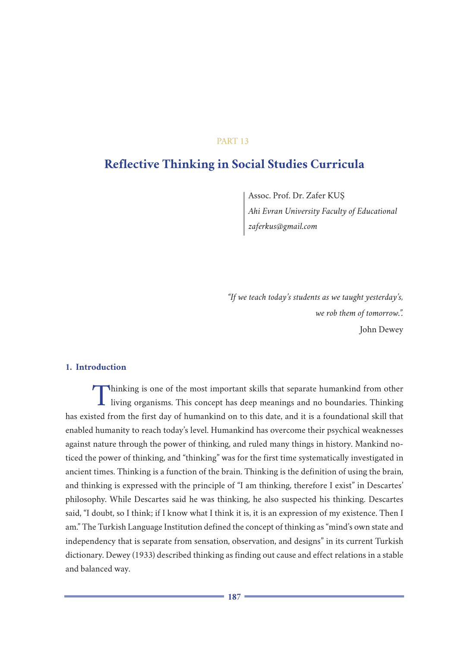## PART 13

# **Reflective Thinking in Social Studies Curricula**

Assoc. Prof. Dr. Zafer KUŞ *Ahi Evran University Faculty of Educational zaferkus@gmail.com*

*"If we teach today's students as we taught yesterday's, we rob them of tomorrow.".* John Dewey

## **1. Introduction**

Thinking is one of the most important skills that separate humankind from other<br>living organisms. This concept has deep meanings and no boundaries. Thinking has existed from the first day of humankind on to this date, and it is a foundational skill that enabled humanity to reach today's level. Humankind has overcome their psychical weaknesses against nature through the power of thinking, and ruled many things in history. Mankind noticed the power of thinking, and "thinking" was for the first time systematically investigated in ancient times. Thinking is a function of the brain. Thinking is the definition of using the brain, and thinking is expressed with the principle of "I am thinking, therefore I exist" in Descartes' philosophy. While Descartes said he was thinking, he also suspected his thinking. Descartes said, "I doubt, so I think; if I know what I think it is, it is an expression of my existence. Then I am." The Turkish Language Institution defined the concept of thinking as "mind's own state and independency that is separate from sensation, observation, and designs" in its current Turkish dictionary. Dewey (1933) described thinking as finding out cause and effect relations in a stable and balanced way.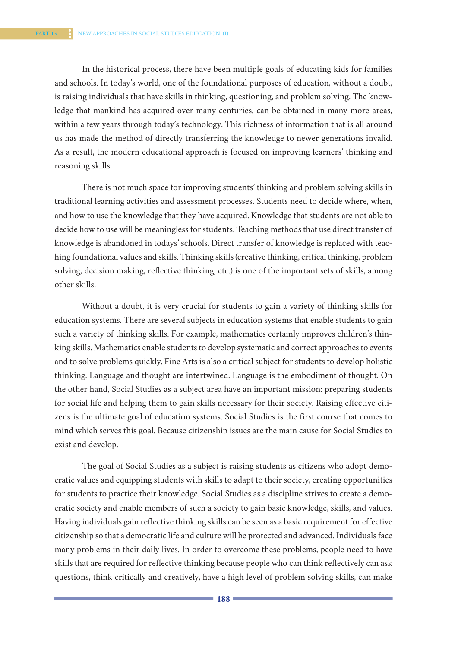In the historical process, there have been multiple goals of educating kids for families and schools. In today's world, one of the foundational purposes of education, without a doubt, is raising individuals that have skills in thinking, questioning, and problem solving. The knowledge that mankind has acquired over many centuries, can be obtained in many more areas, within a few years through today's technology. This richness of information that is all around us has made the method of directly transferring the knowledge to newer generations invalid. As a result, the modern educational approach is focused on improving learners' thinking and reasoning skills.

There is not much space for improving students' thinking and problem solving skills in traditional learning activities and assessment processes. Students need to decide where, when, and how to use the knowledge that they have acquired. Knowledge that students are not able to decide how to use will be meaningless for students. Teaching methods that use direct transfer of knowledge is abandoned in todays' schools. Direct transfer of knowledge is replaced with teaching foundational values and skills. Thinking skills (creative thinking, critical thinking, problem solving, decision making, reflective thinking, etc.) is one of the important sets of skills, among other skills.

Without a doubt, it is very crucial for students to gain a variety of thinking skills for education systems. There are several subjects in education systems that enable students to gain such a variety of thinking skills. For example, mathematics certainly improves children's thinking skills. Mathematics enable students to develop systematic and correct approaches to events and to solve problems quickly. Fine Arts is also a critical subject for students to develop holistic thinking. Language and thought are intertwined. Language is the embodiment of thought. On the other hand, Social Studies as a subject area have an important mission: preparing students for social life and helping them to gain skills necessary for their society. Raising effective citizens is the ultimate goal of education systems. Social Studies is the first course that comes to mind which serves this goal. Because citizenship issues are the main cause for Social Studies to exist and develop.

The goal of Social Studies as a subject is raising students as citizens who adopt democratic values and equipping students with skills to adapt to their society, creating opportunities for students to practice their knowledge. Social Studies as a discipline strives to create a democratic society and enable members of such a society to gain basic knowledge, skills, and values. Having individuals gain reflective thinking skills can be seen as a basic requirement for effective citizenship so that a democratic life and culture will be protected and advanced. Individuals face many problems in their daily lives. In order to overcome these problems, people need to have skills that are required for reflective thinking because people who can think reflectively can ask questions, think critically and creatively, have a high level of problem solving skills, can make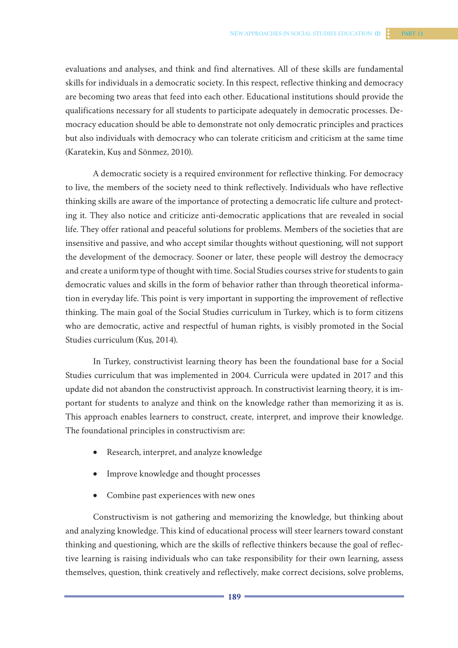evaluations and analyses, and think and find alternatives. All of these skills are fundamental skills for individuals in a democratic society. In this respect, reflective thinking and democracy are becoming two areas that feed into each other. Educational institutions should provide the qualifications necessary for all students to participate adequately in democratic processes. Democracy education should be able to demonstrate not only democratic principles and practices but also individuals with democracy who can tolerate criticism and criticism at the same time (Karatekin, Kuş and Sönmez, 2010).

A democratic society is a required environment for reflective thinking. For democracy to live, the members of the society need to think reflectively. Individuals who have reflective thinking skills are aware of the importance of protecting a democratic life culture and protecting it. They also notice and criticize anti-democratic applications that are revealed in social life. They offer rational and peaceful solutions for problems. Members of the societies that are insensitive and passive, and who accept similar thoughts without questioning, will not support the development of the democracy. Sooner or later, these people will destroy the democracy and create a uniform type of thought with time. Social Studies courses strive for students to gain democratic values and skills in the form of behavior rather than through theoretical information in everyday life. This point is very important in supporting the improvement of reflective thinking. The main goal of the Social Studies curriculum in Turkey, which is to form citizens who are democratic, active and respectful of human rights, is visibly promoted in the Social Studies curriculum (Kuş, 2014).

In Turkey, constructivist learning theory has been the foundational base for a Social Studies curriculum that was implemented in 2004. Curricula were updated in 2017 and this update did not abandon the constructivist approach. In constructivist learning theory, it is important for students to analyze and think on the knowledge rather than memorizing it as is. This approach enables learners to construct, create, interpret, and improve their knowledge. The foundational principles in constructivism are:

- • Research, interpret, and analyze knowledge
- Improve knowledge and thought processes
- Combine past experiences with new ones

Constructivism is not gathering and memorizing the knowledge, but thinking about and analyzing knowledge. This kind of educational process will steer learners toward constant thinking and questioning, which are the skills of reflective thinkers because the goal of reflective learning is raising individuals who can take responsibility for their own learning, assess themselves, question, think creatively and reflectively, make correct decisions, solve problems,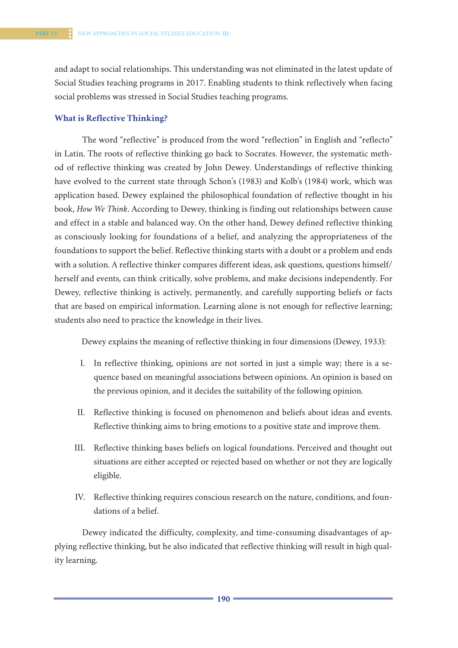and adapt to social relationships. This understanding was not eliminated in the latest update of Social Studies teaching programs in 2017. Enabling students to think reflectively when facing social problems was stressed in Social Studies teaching programs.

## **What is Reflective Thinking?**

The word "reflective" is produced from the word "reflection" in English and "reflecto" in Latin. The roots of reflective thinking go back to Socrates. However, the systematic method of reflective thinking was created by John Dewey. Understandings of reflective thinking have evolved to the current state through Schon's (1983) and Kolb's (1984) work, which was application based. Dewey explained the philosophical foundation of reflective thought in his book, *How We Think*. According to Dewey, thinking is finding out relationships between cause and effect in a stable and balanced way. On the other hand, Dewey defined reflective thinking as consciously looking for foundations of a belief, and analyzing the appropriateness of the foundations to support the belief. Reflective thinking starts with a doubt or a problem and ends with a solution. A reflective thinker compares different ideas, ask questions, questions himself/ herself and events, can think critically, solve problems, and make decisions independently. For Dewey, reflective thinking is actively, permanently, and carefully supporting beliefs or facts that are based on empirical information. Learning alone is not enough for reflective learning; students also need to practice the knowledge in their lives.

Dewey explains the meaning of reflective thinking in four dimensions (Dewey, 1933):

- I. In reflective thinking, opinions are not sorted in just a simple way; there is a sequence based on meaningful associations between opinions. An opinion is based on the previous opinion, and it decides the suitability of the following opinion.
- II. Reflective thinking is focused on phenomenon and beliefs about ideas and events. Reflective thinking aims to bring emotions to a positive state and improve them.
- III. Reflective thinking bases beliefs on logical foundations. Perceived and thought out situations are either accepted or rejected based on whether or not they are logically eligible.
- IV. Reflective thinking requires conscious research on the nature, conditions, and foundations of a belief.

Dewey indicated the difficulty, complexity, and time-consuming disadvantages of applying reflective thinking, but he also indicated that reflective thinking will result in high quality learning.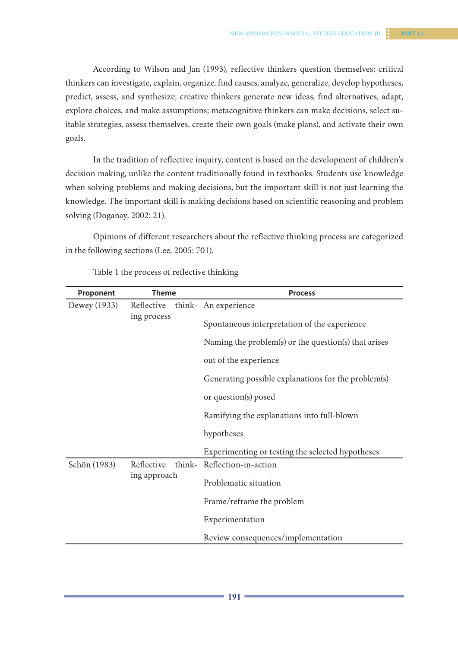According to Wilson and Jan (1993), reflective thinkers question themselves; critical thinkers can investigate, explain, organize, find causes, analyze, generalize, develop hypotheses, predict, assess, and synthesize; creative thinkers generate new ideas, find alternatives, adapt, explore choices, and make assumptions; metacognitive thinkers can make decisions, select suitable strategies, assess themselves, create their own goals (make plans), and activate their own goals.

In the tradition of reflective inquiry, content is based on the development of children's decision making, unlike the content traditionally found in textbooks. Students use knowledge when solving problems and making decisions, but the important skill is not just learning the knowledge. The important skill is making decisions based on scientific reasoning and problem solving (Doganay, 2002: 21).

Opinions of different researchers about the reflective thinking process are categorized in the following sections (Lee, 2005: 701).

| Proponent    | <b>Theme</b> | <b>Process</b>                                       |
|--------------|--------------|------------------------------------------------------|
| Dewey (1933) | Reflective   | think- An experience                                 |
|              | ing process  | Spontaneous interpretation of the experience         |
|              |              | Naming the problem(s) or the question(s) that arises |
|              |              | out of the experience                                |
|              |              | Generating possible explanations for the problem(s)  |
|              |              | or question(s) posed                                 |
|              |              | Ramifying the explanations into full-blown           |
|              |              | hypotheses                                           |
|              |              | Experimenting or testing the selected hypotheses     |
| Schön (1983) | Reflective   | think- Reflection-in-action                          |
|              | ing approach | Problematic situation                                |
|              |              | Frame/reframe the problem                            |
|              |              | Experimentation                                      |
|              |              | Review consequences/implementation                   |

Table 1 the process of reflective thinking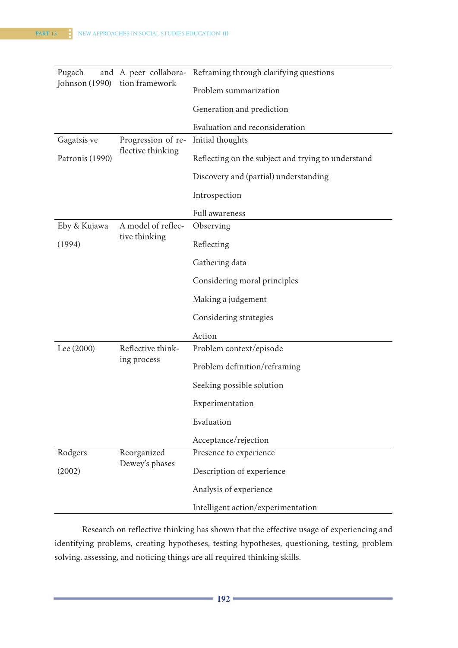| Pugach          |                                         | and A peer collabora- Reframing through clarifying questions |
|-----------------|-----------------------------------------|--------------------------------------------------------------|
| Johnson (1990)  | tion framework                          | Problem summarization                                        |
|                 |                                         | Generation and prediction                                    |
|                 |                                         | Evaluation and reconsideration                               |
| Gagatsis ve     | Progression of re-<br>flective thinking | Initial thoughts                                             |
| Patronis (1990) |                                         | Reflecting on the subject and trying to understand           |
|                 |                                         | Discovery and (partial) understanding                        |
|                 |                                         | Introspection                                                |
|                 |                                         | Full awareness                                               |
| Eby & Kujawa    | A model of reflec-                      | Observing                                                    |
| (1994)          | tive thinking                           | Reflecting                                                   |
|                 |                                         | Gathering data                                               |
|                 |                                         | Considering moral principles                                 |
|                 |                                         | Making a judgement                                           |
|                 |                                         | Considering strategies                                       |
|                 |                                         | Action                                                       |
| Lee (2000)      | Reflective think-<br>ing process        | Problem context/episode                                      |
|                 |                                         | Problem definition/reframing                                 |
|                 |                                         | Seeking possible solution                                    |
|                 |                                         | Experimentation                                              |
|                 |                                         | Evaluation                                                   |
|                 |                                         | Acceptance/rejection                                         |
| Rodgers         | Reorganized<br>Dewey's phases           | Presence to experience                                       |
| (2002)          |                                         | Description of experience                                    |
|                 |                                         | Analysis of experience                                       |
|                 |                                         | Intelligent action/experimentation                           |

Research on reflective thinking has shown that the effective usage of experiencing and identifying problems, creating hypotheses, testing hypotheses, questioning, testing, problem solving, assessing, and noticing things are all required thinking skills.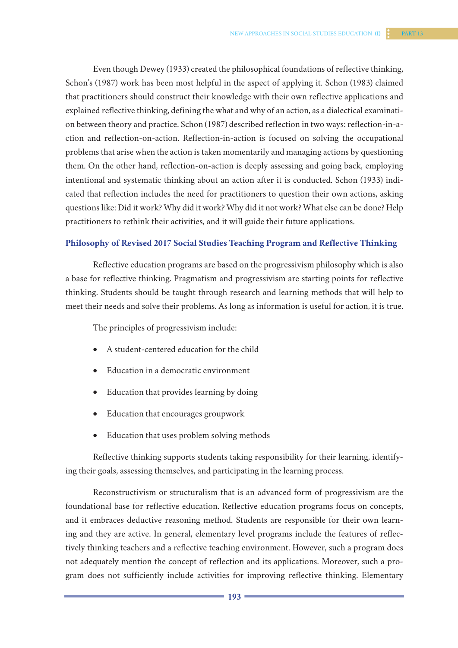Even though Dewey (1933) created the philosophical foundations of reflective thinking, Schon's (1987) work has been most helpful in the aspect of applying it. Schon (1983) claimed that practitioners should construct their knowledge with their own reflective applications and explained reflective thinking, defining the what and why of an action, as a dialectical examination between theory and practice. Schon (1987) described reflection in two ways: reflection-in-action and reflection-on-action. Reflection-in-action is focused on solving the occupational problems that arise when the action is taken momentarily and managing actions by questioning them. On the other hand, reflection-on-action is deeply assessing and going back, employing intentional and systematic thinking about an action after it is conducted. Schon (1933) indicated that reflection includes the need for practitioners to question their own actions, asking questions like: Did it work? Why did it work? Why did it not work? What else can be done? Help practitioners to rethink their activities, and it will guide their future applications.

#### **Philosophy of Revised 2017 Social Studies Teaching Program and Reflective Thinking**

Reflective education programs are based on the progressivism philosophy which is also a base for reflective thinking. Pragmatism and progressivism are starting points for reflective thinking. Students should be taught through research and learning methods that will help to meet their needs and solve their problems. As long as information is useful for action, it is true.

The principles of progressivism include:

- A student-centered education for the child
- Education in a democratic environment
- Education that provides learning by doing
- Education that encourages groupwork
- Education that uses problem solving methods

Reflective thinking supports students taking responsibility for their learning, identifying their goals, assessing themselves, and participating in the learning process.

Reconstructivism or structuralism that is an advanced form of progressivism are the foundational base for reflective education. Reflective education programs focus on concepts, and it embraces deductive reasoning method. Students are responsible for their own learning and they are active. In general, elementary level programs include the features of reflectively thinking teachers and a reflective teaching environment. However, such a program does not adequately mention the concept of reflection and its applications. Moreover, such a program does not sufficiently include activities for improving reflective thinking. Elementary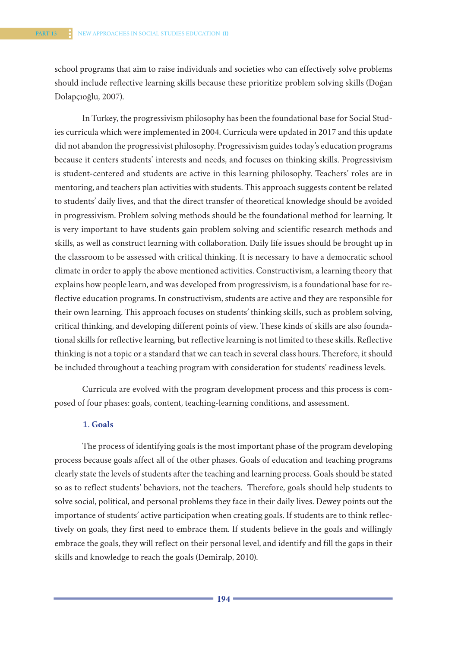school programs that aim to raise individuals and societies who can effectively solve problems should include reflective learning skills because these prioritize problem solving skills (Doğan Dolapçıoğlu, 2007).

In Turkey, the progressivism philosophy has been the foundational base for Social Studies curricula which were implemented in 2004. Curricula were updated in 2017 and this update did not abandon the progressivist philosophy. Progressivism guides today's education programs because it centers students' interests and needs, and focuses on thinking skills. Progressivism is student-centered and students are active in this learning philosophy. Teachers' roles are in mentoring, and teachers plan activities with students. This approach suggests content be related to students' daily lives, and that the direct transfer of theoretical knowledge should be avoided in progressivism. Problem solving methods should be the foundational method for learning. It is very important to have students gain problem solving and scientific research methods and skills, as well as construct learning with collaboration. Daily life issues should be brought up in the classroom to be assessed with critical thinking. It is necessary to have a democratic school climate in order to apply the above mentioned activities. Constructivism, a learning theory that explains how people learn, and was developed from progressivism, is a foundational base for reflective education programs. In constructivism, students are active and they are responsible for their own learning. This approach focuses on students' thinking skills, such as problem solving, critical thinking, and developing different points of view. These kinds of skills are also foundational skills for reflective learning, but reflective learning is not limited to these skills. Reflective thinking is not a topic or a standard that we can teach in several class hours. Therefore, it should be included throughout a teaching program with consideration for students' readiness levels.

Curricula are evolved with the program development process and this process is composed of four phases: goals, content, teaching-learning conditions, and assessment.

#### 1. **Goals**

The process of identifying goals is the most important phase of the program developing process because goals affect all of the other phases. Goals of education and teaching programs clearly state the levels of students after the teaching and learning process. Goals should be stated so as to reflect students' behaviors, not the teachers. Therefore, goals should help students to solve social, political, and personal problems they face in their daily lives. Dewey points out the importance of students' active participation when creating goals. If students are to think reflectively on goals, they first need to embrace them. If students believe in the goals and willingly embrace the goals, they will reflect on their personal level, and identify and fill the gaps in their skills and knowledge to reach the goals (Demiralp, 2010).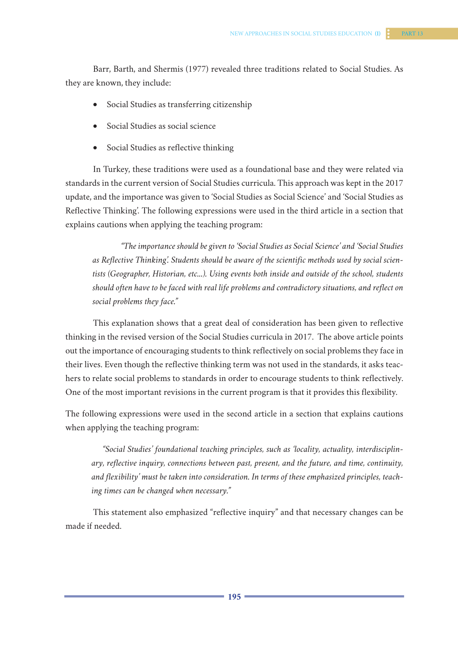Barr, Barth, and Shermis (1977) revealed three traditions related to Social Studies. As they are known, they include:

- • Social Studies as transferring citizenship
- • Social Studies as social science
- • Social Studies as reflective thinking

In Turkey, these traditions were used as a foundational base and they were related via standards in the current version of Social Studies curricula. This approach was kept in the 2017 update, and the importance was given to 'Social Studies as Social Science' and 'Social Studies as Reflective Thinking'. The following expressions were used in the third article in a section that explains cautions when applying the teaching program:

*"The importance should be given to 'Social Studies as Social Science' and 'Social Studies as Reflective Thinking'. Students should be aware of the scientific methods used by social scientists (Geographer, Historian, etc...). Using events both inside and outside of the school, students should often have to be faced with real life problems and contradictory situations, and reflect on social problems they face."*

This explanation shows that a great deal of consideration has been given to reflective thinking in the revised version of the Social Studies curricula in 2017. The above article points out the importance of encouraging students to think reflectively on social problems they face in their lives. Even though the reflective thinking term was not used in the standards, it asks teachers to relate social problems to standards in order to encourage students to think reflectively. One of the most important revisions in the current program is that it provides this flexibility.

The following expressions were used in the second article in a section that explains cautions when applying the teaching program:

*"Social Studies' foundational teaching principles, such as 'locality, actuality, interdisciplinary, reflective inquiry, connections between past, present, and the future, and time, continuity, and flexibility' must be taken into consideration. In terms of these emphasized principles, teaching times can be changed when necessary."*

This statement also emphasized "reflective inquiry" and that necessary changes can be made if needed.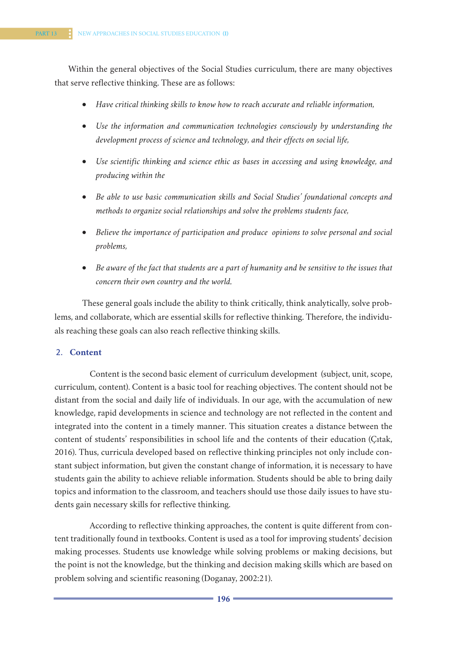Within the general objectives of the Social Studies curriculum, there are many objectives that serve reflective thinking. These are as follows:

- • *Have critical thinking skills to know how to reach accurate and reliable information,*
- • *Use the information and communication technologies consciously by understanding the development process of science and technology, and their effects on social life,*
- • *Use scientific thinking and science ethic as bases in accessing and using knowledge, and producing within the*
- • *Be able to use basic communication skills and Social Studies' foundational concepts and methods to organize social relationships and solve the problems students face,*
- Believe the importance of participation and produce opinions to solve personal and social *problems,*
- Be aware of the fact that students are a part of humanity and be sensitive to the issues that *concern their own country and the world.*

These general goals include the ability to think critically, think analytically, solve problems, and collaborate, which are essential skills for reflective thinking. Therefore, the individuals reaching these goals can also reach reflective thinking skills.

## 2. **Content**

Content is the second basic element of curriculum development (subject, unit, scope, curriculum, content). Content is a basic tool for reaching objectives. The content should not be distant from the social and daily life of individuals. In our age, with the accumulation of new knowledge, rapid developments in science and technology are not reflected in the content and integrated into the content in a timely manner. This situation creates a distance between the content of students' responsibilities in school life and the contents of their education (Çıtak, 2016). Thus, curricula developed based on reflective thinking principles not only include constant subject information, but given the constant change of information, it is necessary to have students gain the ability to achieve reliable information. Students should be able to bring daily topics and information to the classroom, and teachers should use those daily issues to have students gain necessary skills for reflective thinking.

According to reflective thinking approaches, the content is quite different from content traditionally found in textbooks. Content is used as a tool for improving students' decision making processes. Students use knowledge while solving problems or making decisions, but the point is not the knowledge, but the thinking and decision making skills which are based on problem solving and scientific reasoning (Doganay, 2002:21).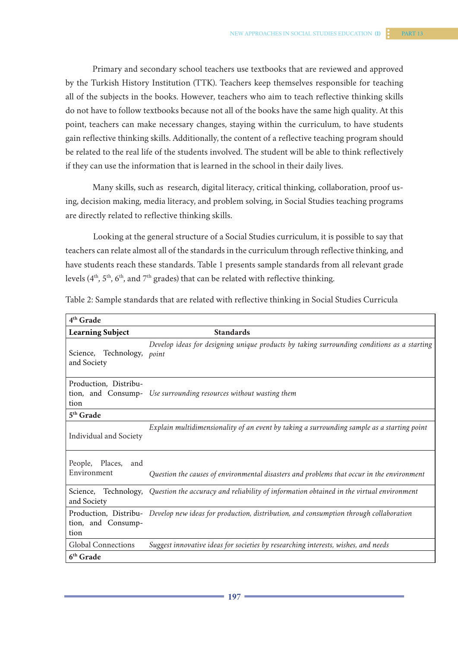Primary and secondary school teachers use textbooks that are reviewed and approved by the Turkish History Institution (TTK). Teachers keep themselves responsible for teaching all of the subjects in the books. However, teachers who aim to teach reflective thinking skills do not have to follow textbooks because not all of the books have the same high quality. At this point, teachers can make necessary changes, staying within the curriculum, to have students gain reflective thinking skills. Additionally, the content of a reflective teaching program should be related to the real life of the students involved. The student will be able to think reflectively if they can use the information that is learned in the school in their daily lives.

Many skills, such as research, digital literacy, critical thinking, collaboration, proof using, decision making, media literacy, and problem solving, in Social Studies teaching programs are directly related to reflective thinking skills.

Looking at the general structure of a Social Studies curriculum, it is possible to say that teachers can relate almost all of the standards in the curriculum through reflective thinking, and have students reach these standards. Table 1 presents sample standards from all relevant grade levels  $(4<sup>th</sup>, 5<sup>th</sup>, 6<sup>th</sup>, and 7<sup>th</sup> grades)$  that can be related with reflective thinking.

| 4 <sup>th</sup> Grade                                                                                                                      |  |
|--------------------------------------------------------------------------------------------------------------------------------------------|--|
| <b>Learning Subject</b><br><b>Standards</b>                                                                                                |  |
| Develop ideas for designing unique products by taking surrounding conditions as a starting<br>Science, Technology,<br>point<br>and Society |  |
| Production, Distribu-<br>tion, and Consump- Use surrounding resources without wasting them<br>tion                                         |  |
| 5 <sup>th</sup> Grade                                                                                                                      |  |
| Explain multidimensionality of an event by taking a surrounding sample as a starting point<br>Individual and Society                       |  |
| People, Places,<br>and<br>Environment<br>Question the causes of environmental disasters and problems that occur in the environment         |  |
| Technology, Question the accuracy and reliability of information obtained in the virtual environment<br>Science,<br>and Society            |  |
| Production, Distribu- Develop new ideas for production, distribution, and consumption through collaboration<br>tion, and Consump-<br>tion  |  |
| <b>Global Connections</b><br>Suggest innovative ideas for societies by researching interests, wishes, and needs                            |  |
| 6th Grade                                                                                                                                  |  |

Table 2: Sample standards that are related with reflective thinking in Social Studies Curricula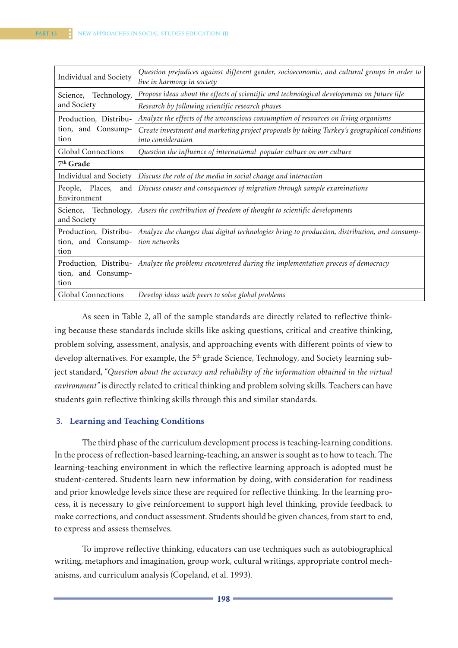| Individual and Society                              | Question prejudices against different gender, socioeconomic, and cultural groups in order to<br>live in harmony in society |
|-----------------------------------------------------|----------------------------------------------------------------------------------------------------------------------------|
| and Society                                         | Science, Technology, Propose ideas about the effects of scientific and technological developments on future life           |
|                                                     | Research by following scientific research phases                                                                           |
| Production, Distribu-<br>tion, and Consump-<br>tion | Analyze the effects of the unconscious consumption of resources on living organisms                                        |
|                                                     | Create investment and marketing project proposals by taking Turkey's geographical conditions<br>into consideration         |
| <b>Global Connections</b>                           | Question the influence of international popular culture on our culture                                                     |
| $7th$ Grade                                         |                                                                                                                            |
|                                                     | Individual and Society Discuss the role of the media in social change and interaction                                      |
| Environment                                         | People, Places, and Discuss causes and consequences of migration through sample examinations                               |
| and Society                                         | Science, Technology, Assess the contribution of freedom of thought to scientific developments                              |
| tion, and Consump- tion networks<br>tion            | Production, Distribu- Analyze the changes that digital technologies bring to production, distribution, and consump-        |
| tion, and Consump-<br>tion                          | Production, Distribu- Analyze the problems encountered during the implementation process of democracy                      |
| <b>Global Connections</b>                           | Develop ideas with peers to solve global problems                                                                          |

As seen in Table 2, all of the sample standards are directly related to reflective thinking because these standards include skills like asking questions, critical and creative thinking, problem solving, assessment, analysis, and approaching events with different points of view to develop alternatives. For example, the 5<sup>th</sup> grade Science, Technology, and Society learning subject standard, "*Question about the accuracy and reliability of the information obtained in the virtual environment"* is directly related to critical thinking and problem solving skills. Teachers can have students gain reflective thinking skills through this and similar standards.

## 3. **Learning and Teaching Conditions**

The third phase of the curriculum development process is teaching-learning conditions. In the process of reflection-based learning-teaching, an answer is sought as to how to teach. The learning-teaching environment in which the reflective learning approach is adopted must be student-centered. Students learn new information by doing, with consideration for readiness and prior knowledge levels since these are required for reflective thinking. In the learning process, it is necessary to give reinforcement to support high level thinking, provide feedback to make corrections, and conduct assessment. Students should be given chances, from start to end, to express and assess themselves.

To improve reflective thinking, educators can use techniques such as autobiographical writing, metaphors and imagination, group work, cultural writings, appropriate control mechanisms, and curriculum analysis (Copeland, et al. 1993).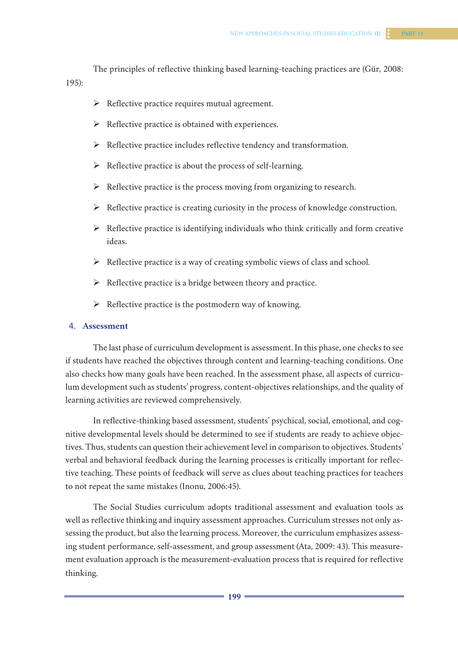The principles of reflective thinking based learning-teaching practices are (Gür, 2008: 195):

- $\triangleright$  Reflective practice requires mutual agreement.
- $\triangleright$  Reflective practice is obtained with experiences.
- $\triangleright$  Reflective practice includes reflective tendency and transformation.
- $\triangleright$  Reflective practice is about the process of self-learning.
- $\triangleright$  Reflective practice is the process moving from organizing to research.
- $\triangleright$  Reflective practice is creating curiosity in the process of knowledge construction.
- $\triangleright$  Reflective practice is identifying individuals who think critically and form creative ideas.
- $\triangleright$  Reflective practice is a way of creating symbolic views of class and school.
- $\triangleright$  Reflective practice is a bridge between theory and practice.
- $\triangleright$  Reflective practice is the postmodern way of knowing.

#### 4. **Assessment**

The last phase of curriculum development is assessment. In this phase, one checks to see if students have reached the objectives through content and learning-teaching conditions. One also checks how many goals have been reached. In the assessment phase, all aspects of curriculum development such as students' progress, content-objectives relationships, and the quality of learning activities are reviewed comprehensively.

In reflective-thinking based assessment, students' psychical, social, emotional, and cognitive developmental levels should be determined to see if students are ready to achieve objectives. Thus, students can question their achievement level in comparison to objectives. Students' verbal and behavioral feedback during the learning processes is critically important for reflective teaching. These points of feedback will serve as clues about teaching practices for teachers to not repeat the same mistakes (Inonu, 2006:45).

The Social Studies curriculum adopts traditional assessment and evaluation tools as well as reflective thinking and inquiry assessment approaches. Curriculum stresses not only assessing the product, but also the learning process. Moreover, the curriculum emphasizes assessing student performance, self-assessment, and group assessment (Ata, 2009: 43). This measurement evaluation approach is the measurement-evaluation process that is required for reflective thinking.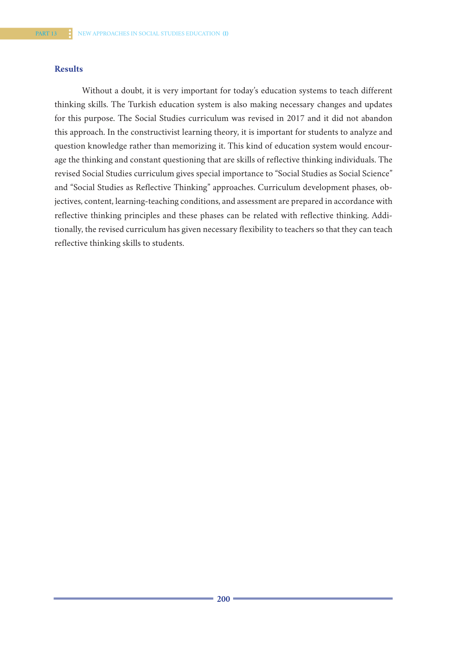## **Results**

Without a doubt, it is very important for today's education systems to teach different thinking skills. The Turkish education system is also making necessary changes and updates for this purpose. The Social Studies curriculum was revised in 2017 and it did not abandon this approach. In the constructivist learning theory, it is important for students to analyze and question knowledge rather than memorizing it. This kind of education system would encourage the thinking and constant questioning that are skills of reflective thinking individuals. The revised Social Studies curriculum gives special importance to "Social Studies as Social Science" and "Social Studies as Reflective Thinking" approaches. Curriculum development phases, objectives, content, learning-teaching conditions, and assessment are prepared in accordance with reflective thinking principles and these phases can be related with reflective thinking. Additionally, the revised curriculum has given necessary flexibility to teachers so that they can teach reflective thinking skills to students.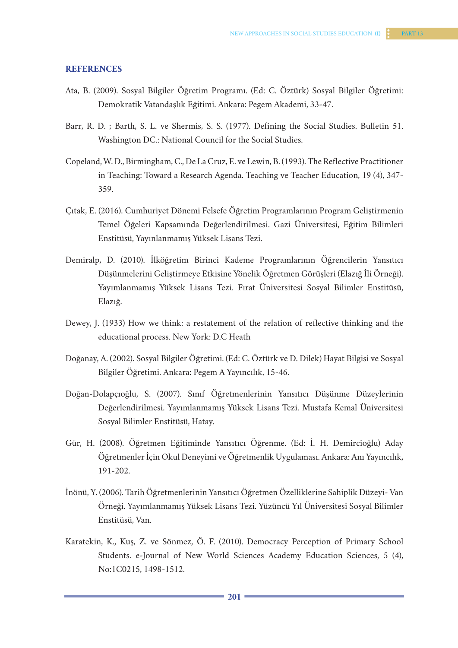#### **REFERENCES**

- Ata, B. (2009). Sosyal Bilgiler Öğretim Programı. (Ed: C. Öztürk) Sosyal Bilgiler Öğretimi: Demokratik Vatandaşlık Eğitimi. Ankara: Pegem Akademi, 33-47.
- Barr, R. D. ; Barth, S. L. ve Shermis, S. S. (1977). Defining the Social Studies. Bulletin 51. Washington DC.: National Council for the Social Studies.
- Copeland, W. D., Birmingham, C., De La Cruz, E. ve Lewin, B. (1993). The Reflective Practitioner in Teaching: Toward a Research Agenda. Teaching ve Teacher Education, 19 (4), 347- 359.
- Çıtak, E. (2016). Cumhuriyet Dönemi Felsefe Öğretim Programlarının Program Geliştirmenin Temel Öğeleri Kapsamında Değerlendirilmesi. Gazi Üniversitesi, Eğitim Bilimleri Enstitüsü, Yayınlanmamış Yüksek Lisans Tezi.
- Demiralp, D. (2010). İlköğretim Birinci Kademe Programlarının Öğrencilerin Yansıtıcı Düşünmelerini Geliştirmeye Etkisine Yönelik Öğretmen Görüşleri (Elazığ İli Örneği). Yayımlanmamış Yüksek Lisans Tezi. Fırat Üniversitesi Sosyal Bilimler Enstitüsü, Elazığ.
- Dewey, J. (1933) How we think: a restatement of the relation of reflective thinking and the educational process. New York: D.C Heath
- Doğanay, A. (2002). Sosyal Bilgiler Öğretimi. (Ed: C. Öztürk ve D. Dilek) Hayat Bilgisi ve Sosyal Bilgiler Öğretimi. Ankara: Pegem A Yayıncılık, 15-46.
- Doğan-Dolapçıoğlu, S. (2007). Sınıf Öğretmenlerinin Yansıtıcı Düşünme Düzeylerinin Değerlendirilmesi. Yayımlanmamış Yüksek Lisans Tezi. Mustafa Kemal Üniversitesi Sosyal Bilimler Enstitüsü, Hatay.
- Gür, H. (2008). Öğretmen Eğitiminde Yansıtıcı Öğrenme. (Ed: İ. H. Demircioğlu) Aday Öğretmenlerİçin Okul Deneyimi ve Öğretmenlik Uygulaması. Ankara: Anı Yayıncılık, 191-202.
- İnönü, Y. (2006). Tarih Öğretmenlerinin Yansıtıcı Öğretmen Özelliklerine Sahiplik Düzeyi- Van Örneği. Yayımlanmamış Yüksek Lisans Tezi. Yüzüncü Yıl Üniversitesi Sosyal Bilimler Enstitüsü, Van.
- Karatekin, K., Kuş, Z. ve Sönmez, Ö. F. (2010). Democracy Perception of Primary School Students. e-Journal of New World Sciences Academy Education Sciences, 5 (4), No:1C0215, 1498-1512.